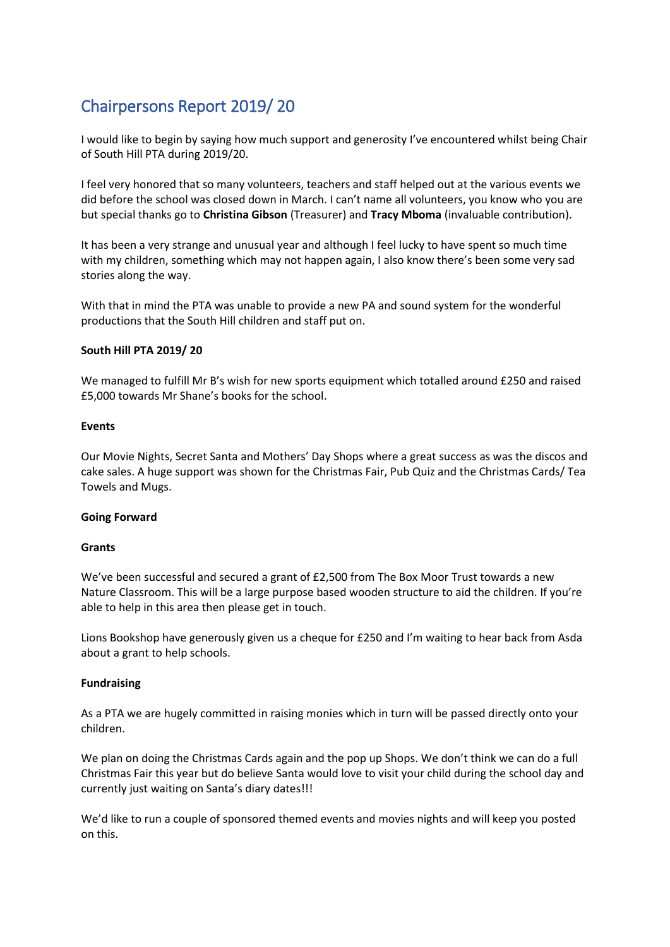# Chairpersons Report 2019/ 20

I would like to begin by saying how much support and generosity I've encountered whilst being Chair of South Hill PTA during 2019/20.

I feel very honored that so many volunteers, teachers and staff helped out at the various events we did before the school was closed down in March. I can't name all volunteers, you know who you are but special thanks go to **Christina Gibson** (Treasurer) and **Tracy Mboma** (invaluable contribution).

It has been a very strange and unusual year and although I feel lucky to have spent so much time with my children, something which may not happen again, I also know there's been some very sad stories along the way.

With that in mind the PTA was unable to provide a new PA and sound system for the wonderful productions that the South Hill children and staff put on.

## **South Hill PTA 2019/ 20**

We managed to fulfill Mr B's wish for new sports equipment which totalled around £250 and raised £5,000 towards Mr Shane's books for the school.

## **Events**

Our Movie Nights, Secret Santa and Mothers' Day Shops where a great success as was the discos and cake sales. A huge support was shown for the Christmas Fair, Pub Quiz and the Christmas Cards/ Tea Towels and Mugs.

## **Going Forward**

## **Grants**

We've been successful and secured a grant of £2,500 from The Box Moor Trust towards a new Nature Classroom. This will be a large purpose based wooden structure to aid the children. If you're able to help in this area then please get in touch.

Lions Bookshop have generously given us a cheque for £250 and I'm waiting to hear back from Asda about a grant to help schools.

## **Fundraising**

As a PTA we are hugely committed in raising monies which in turn will be passed directly onto your children.

We plan on doing the Christmas Cards again and the pop up Shops. We don't think we can do a full Christmas Fair this year but do believe Santa would love to visit your child during the school day and currently just waiting on Santa's diary dates!!!

We'd like to run a couple of sponsored themed events and movies nights and will keep you posted on this.